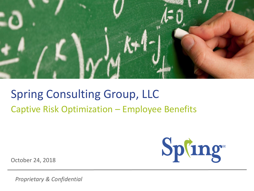

#### Spring Consulting Group, LLC Captive Risk Optimization – Employee Benefits

Spling

October 24, 2018

*Proprietary & Confidential*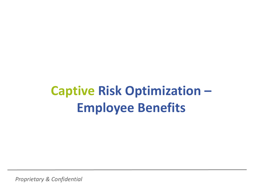*Proprietary & Confidential*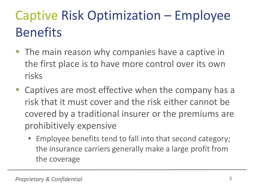- **The main reason why companies have a captive in** the first place is to have more control over its own risks
- Captives are most effective when the company has a risk that it must cover and the risk either cannot be covered by a traditional insurer or the premiums are prohibitively expensive
	- Employee benefits tend to fall into that second category; the insurance carriers generally make a large profit from the coverage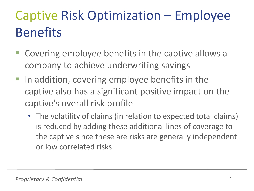- Covering employee benefits in the captive allows a company to achieve underwriting savings
- **IF In addition, covering employee benefits in the** captive also has a significant positive impact on the captive's overall risk profile
	- The volatility of claims (in relation to expected total claims) is reduced by adding these additional lines of coverage to the captive since these are risks are generally independent or low correlated risks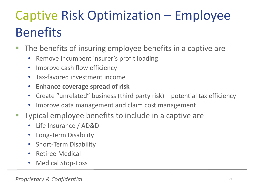- The benefits of insuring employee benefits in a captive are
	- Remove incumbent insurer's profit loading
	- Improve cash flow efficiency
	- Tax-favored investment income
	- **Enhance coverage spread of risk**
	- Create "unrelated" business (third party risk) potential tax efficiency
	- Improve data management and claim cost management
- Typical employee benefits to include in a captive are
	- Life Insurance / AD&D
	- Long-Term Disability
	- Short-Term Disability
	- Retiree Medical
	- Medical Stop-Loss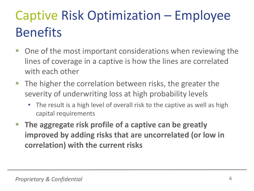- One of the most important considerations when reviewing the lines of coverage in a captive is how the lines are correlated with each other
- **The higher the correlation between risks, the greater the** severity of underwriting loss at high probability levels
	- The result is a high level of overall risk to the captive as well as high capital requirements
- **The aggregate risk profile of a captive can be greatly improved by adding risks that are uncorrelated (or low in correlation) with the current risks**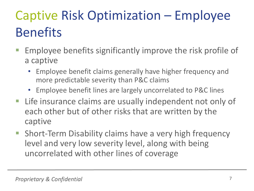- Employee benefits significantly improve the risk profile of a captive
	- Employee benefit claims generally have higher frequency and more predictable severity than P&C claims
	- Employee benefit lines are largely uncorrelated to P&C lines
- **EXTE:** Life insurance claims are usually independent not only of each other but of other risks that are written by the captive
- Short-Term Disability claims have a very high frequency level and very low severity level, along with being uncorrelated with other lines of coverage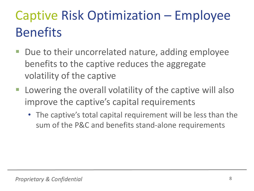- Due to their uncorrelated nature, adding employee benefits to the captive reduces the aggregate volatility of the captive
- Lowering the overall volatility of the captive will also improve the captive's capital requirements
	- The captive's total capital requirement will be less than the sum of the P&C and benefits stand-alone requirements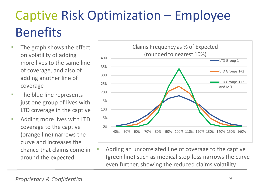- $\blacksquare$  The graph shows the effect on volatility of adding more lives to the same line of coverage, and also of adding another line of coverage
- **The blue line represents** just one group of lives with LTD coverage in the captive
- **Adding more lives with LTD** coverage to the captive (orange line) narrows the curve and increases the chance that claims come in around the expected



 Adding an uncorrelated line of coverage to the captive (green line) such as medical stop-loss narrows the curve even further, showing the reduced claims volatility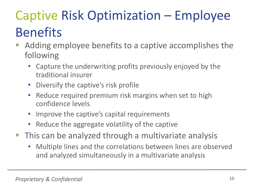- Adding employee benefits to a captive accomplishes the following
	- Capture the underwriting profits previously enjoyed by the traditional insurer
	- Diversify the captive's risk profile
	- Reduce required premium risk margins when set to high confidence levels
	- Improve the captive's capital requirements
	- Reduce the aggregate volatility of the captive
- **This can be analyzed through a multivariate analysis** 
	- Multiple lines and the correlations between lines are observed and analyzed simultaneously in a multivariate analysis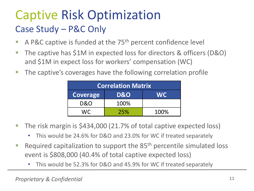#### Captive Risk Optimization Case Study – P&C Only

- A P&C captive is funded at the  $75<sup>th</sup>$  percent confidence level
- The captive has \$1M in expected loss for directors & officers (D&O) and \$1M in expect loss for workers' compensation (WC)
- **The captive's coverages have the following correlation profile**

| <b>Correlation Matrix</b> |                |           |  |  |
|---------------------------|----------------|-----------|--|--|
| <b>Coverage</b>           | <b>D&amp;O</b> | <b>WC</b> |  |  |
| <b>D&amp;O</b>            | 100%           |           |  |  |
| MC                        | 25%            | 100%      |  |  |

- The risk margin is \$434,000 (21.7% of total captive expected loss)
	- This would be 24.6% for D&O and 23.0% for WC if treated separately
- Required capitalization to support the  $85<sup>th</sup>$  percentile simulated loss event is \$808,000 (40.4% of total captive expected loss)
	- This would be 52.3% for D&O and 45.9% for WC if treated separately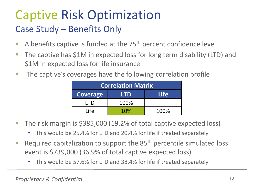#### Captive Risk Optimization Case Study – Benefits Only

- A benefits captive is funded at the  $75<sup>th</sup>$  percent confidence level
- **The captive has \$1M in expected loss for long term disability (LTD) and** \$1M in expected loss for life insurance
- **The captive's coverages have the following correlation profile**

| <b>Correlation Matrix</b> |            |             |  |  |  |
|---------------------------|------------|-------------|--|--|--|
| <b>Coverage</b>           | <b>LTD</b> | <b>Life</b> |  |  |  |
| I TD                      | 100%       |             |  |  |  |
| Life                      | 10%        | 100%        |  |  |  |

- The risk margin is \$385,000 (19.2% of total captive expected loss)
	- This would be 25.4% for LTD and 20.4% for life if treated separately
- Required capitalization to support the  $85<sup>th</sup>$  percentile simulated loss event is \$739,000 (36.9% of total captive expected loss)
	- This would be 57.6% for LTD and 38.4% for life if treated separately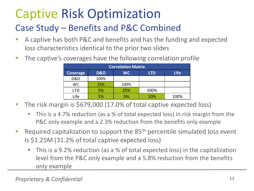#### Captive Risk Optimization

#### Case Study – Benefits and P&C Combined

- A captive has both P&C and benefits and has the funding and expected loss characteristics identical to the prior two slides
- **The captive's coverages have the following correlation profile**

| <b>Correlation Matrix</b> |                |           |            |             |  |
|---------------------------|----------------|-----------|------------|-------------|--|
| Coverage                  | <b>D&amp;O</b> | <b>WC</b> | <b>LTD</b> | <b>Life</b> |  |
| <b>D&amp;O</b>            | 100%           |           |            |             |  |
| WC.                       | 25%            | 100%      |            |             |  |
| LTD                       | 5%             | 25%       | 100%       |             |  |
| Life                      | 5%             | 5%        | 10%        | 100%        |  |

- The risk margin is \$679,000 (17.0% of total captive expected loss)
	- This is a 4.7% reduction (as a % of total expected loss) in risk margin from the P&C only example and a 2.3% reduction from the benefits only example
- Required capitalization to support the  $85<sup>th</sup>$  percentile simulated loss event is \$1.25M (31.2% of total captive expected loss)
	- This is a 9.2% reduction (as a % of total expected loss) in the capitalization level from the P&C only example and a 5.8% reduction from the benefits only example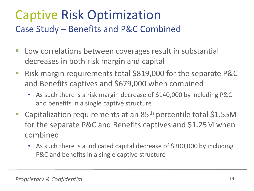#### Captive Risk Optimization Case Study – Benefits and P&C Combined

- **Low correlations between coverages result in substantial** decreases in both risk margin and capital
- Risk margin requirements total \$819,000 for the separate P&C and Benefits captives and \$679,000 when combined
	- As such there is a risk margin decrease of \$140,000 by including P&C and benefits in a single captive structure
- Capitalization requirements at an 85<sup>th</sup> percentile total \$1.55M for the separate P&C and Benefits captives and \$1.25M when combined
	- As such there is a indicated capital decrease of \$300,000 by including P&C and benefits in a single captive structure